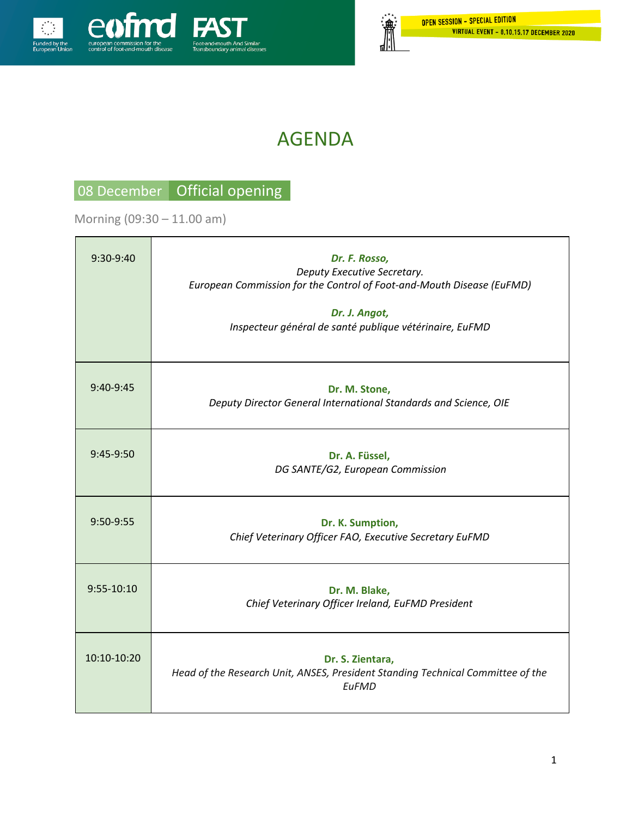

# AGENDA

## 08 December Official opening

Morning (09:30 – 11.00 am)

| $9:30-9:40$    | Dr. F. Rosso,<br>Deputy Executive Secretary.<br>European Commission for the Control of Foot-and-Mouth Disease (EuFMD)<br>Dr. J. Angot,<br>Inspecteur général de santé publique vétérinaire, EuFMD |
|----------------|---------------------------------------------------------------------------------------------------------------------------------------------------------------------------------------------------|
| 9:40-9:45      | Dr. M. Stone,<br>Deputy Director General International Standards and Science, OIE                                                                                                                 |
| 9:45-9:50      | Dr. A. Füssel,<br>DG SANTE/G2, European Commission                                                                                                                                                |
| 9:50-9:55      | Dr. K. Sumption,<br>Chief Veterinary Officer FAO, Executive Secretary EuFMD                                                                                                                       |
| $9:55 - 10:10$ | Dr. M. Blake,<br>Chief Veterinary Officer Ireland, EuFMD President                                                                                                                                |
| 10:10-10:20    | Dr. S. Zientara,<br>Head of the Research Unit, ANSES, President Standing Technical Committee of the<br><b>FuFMD</b>                                                                               |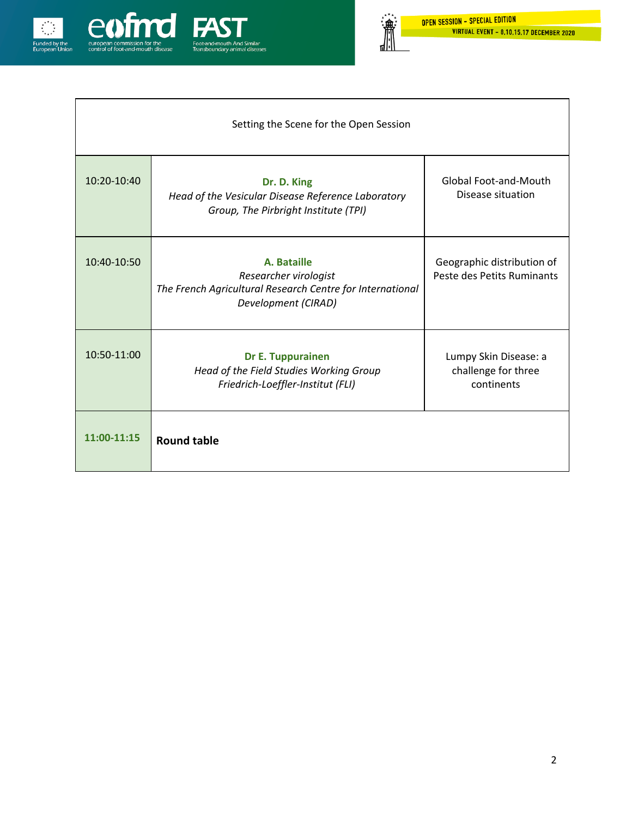

| Setting the Scene for the Open Session |                                                                                                                          |                                                            |  |
|----------------------------------------|--------------------------------------------------------------------------------------------------------------------------|------------------------------------------------------------|--|
| 10:20-10:40                            | Dr. D. King<br>Head of the Vesicular Disease Reference Laboratory<br>Group, The Pirbright Institute (TPI)                | <b>Global Foot-and-Mouth</b><br>Disease situation          |  |
| 10:40-10:50                            | A. Bataille<br>Researcher virologist<br>The French Agricultural Research Centre for International<br>Development (CIRAD) | Geographic distribution of<br>Peste des Petits Ruminants   |  |
| 10:50-11:00                            | <b>Dr E. Tuppurainen</b><br>Head of the Field Studies Working Group<br>Friedrich-Loeffler-Institut (FLI)                 | Lumpy Skin Disease: a<br>challenge for three<br>continents |  |
| 11:00-11:15                            | <b>Round table</b>                                                                                                       |                                                            |  |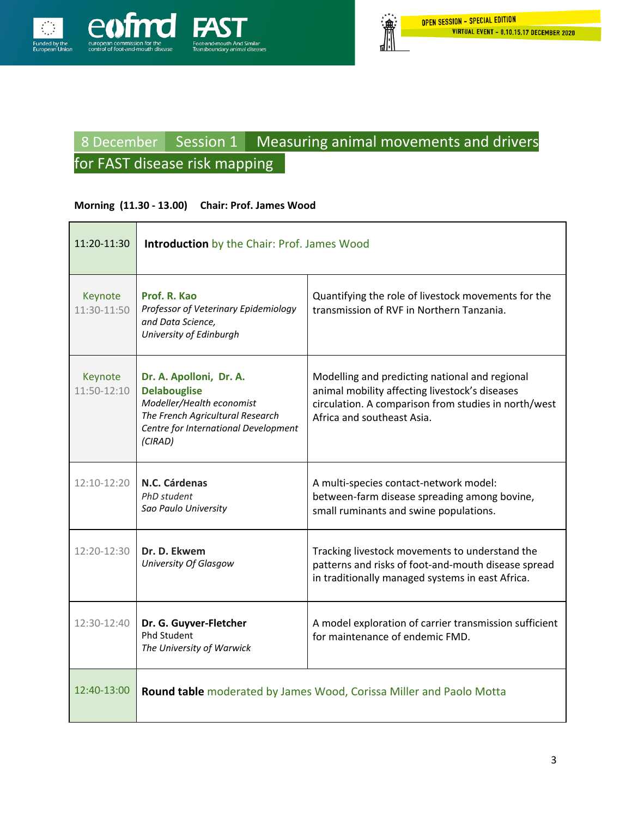

# 8 December Session 1 Measuring animal movements and drivers for FAST disease risk mapping

#### **Morning (11.30 - 13.00) Chair: Prof. James Wood**

| 11:20-11:30            | <b>Introduction</b> by the Chair: Prof. James Wood                                                                                                                 |                                                                                                                                                                                        |
|------------------------|--------------------------------------------------------------------------------------------------------------------------------------------------------------------|----------------------------------------------------------------------------------------------------------------------------------------------------------------------------------------|
| Keynote<br>11:30-11:50 | Prof. R. Kao<br>Professor of Veterinary Epidemiology<br>and Data Science,<br>University of Edinburgh                                                               | Quantifying the role of livestock movements for the<br>transmission of RVF in Northern Tanzania.                                                                                       |
| Keynote<br>11:50-12:10 | Dr. A. Apolloni, Dr. A.<br><b>Delabouglise</b><br>Modeller/Health economist<br>The French Agricultural Research<br>Centre for International Development<br>(CIRAD) | Modelling and predicting national and regional<br>animal mobility affecting livestock's diseases<br>circulation. A comparison from studies in north/west<br>Africa and southeast Asia. |
| 12:10-12:20            | N.C. Cárdenas<br>PhD student<br>Sao Paulo University                                                                                                               | A multi-species contact-network model:<br>between-farm disease spreading among bovine,<br>small ruminants and swine populations.                                                       |
| 12:20-12:30            | Dr. D. Ekwem<br>University Of Glasgow                                                                                                                              | Tracking livestock movements to understand the<br>patterns and risks of foot-and-mouth disease spread<br>in traditionally managed systems in east Africa.                              |
| 12:30-12:40            | Dr. G. Guyver-Fletcher<br><b>Phd Student</b><br>The University of Warwick                                                                                          | A model exploration of carrier transmission sufficient<br>for maintenance of endemic FMD.                                                                                              |
| $12:40-13:00$          |                                                                                                                                                                    | Round table moderated by James Wood, Corissa Miller and Paolo Motta                                                                                                                    |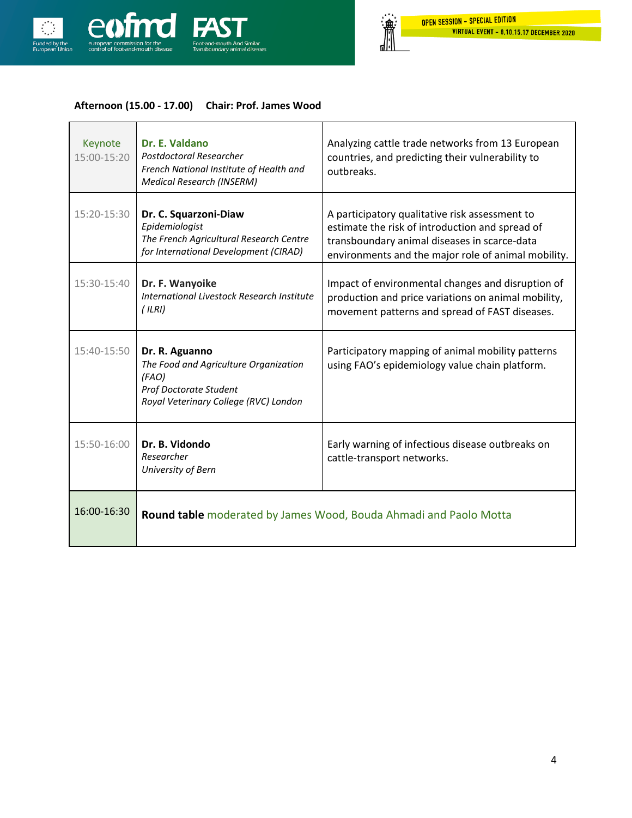

 $\Gamma$ 

瀹

ⅆ

### **Afternoon (15.00 - 17.00) Chair: Prof. James Wood**

| Keynote<br>15:00-15:20 | Dr. E. Valdano<br>Postdoctoral Researcher<br>French National Institute of Health and<br><b>Medical Research (INSERM)</b>            | Analyzing cattle trade networks from 13 European<br>countries, and predicting their vulnerability to<br>outbreaks.                                                                                       |
|------------------------|-------------------------------------------------------------------------------------------------------------------------------------|----------------------------------------------------------------------------------------------------------------------------------------------------------------------------------------------------------|
| 15:20-15:30            | Dr. C. Squarzoni-Diaw<br>Epidemiologist<br>The French Agricultural Research Centre<br>for International Development (CIRAD)         | A participatory qualitative risk assessment to<br>estimate the risk of introduction and spread of<br>transboundary animal diseases in scarce-data<br>environments and the major role of animal mobility. |
| 15:30-15:40            | Dr. F. Wanyoike<br><b>International Livestock Research Institute</b><br>(ILRI)                                                      | Impact of environmental changes and disruption of<br>production and price variations on animal mobility,<br>movement patterns and spread of FAST diseases.                                               |
| 15:40-15:50            | Dr. R. Aguanno<br>The Food and Agriculture Organization<br>(FAO)<br>Prof Doctorate Student<br>Royal Veterinary College (RVC) London | Participatory mapping of animal mobility patterns<br>using FAO's epidemiology value chain platform.                                                                                                      |
| 15:50-16:00            | Dr. B. Vidondo<br>Researcher<br>University of Bern                                                                                  | Early warning of infectious disease outbreaks on<br>cattle-transport networks.                                                                                                                           |
| 16:00-16:30            | Round table moderated by James Wood, Bouda Ahmadi and Paolo Motta                                                                   |                                                                                                                                                                                                          |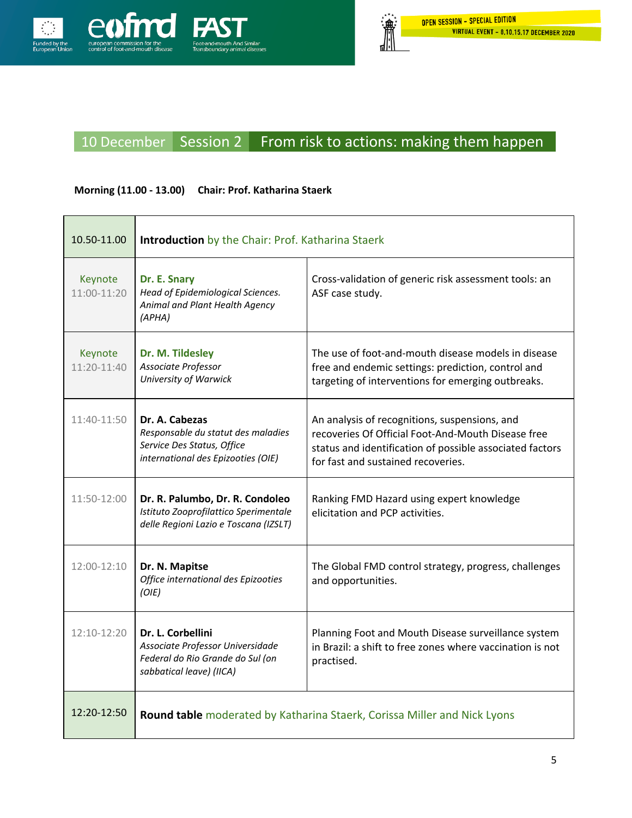

# 10 December Session 2 From risk to actions: making them happen

### **Morning (11.00 - 13.00) Chair: Prof. Katharina Staerk**

| 10.50-11.00            | <b>Introduction</b> by the Chair: Prof. Katharina Staerk                                                                 |                                                                                                                                                                                                       |
|------------------------|--------------------------------------------------------------------------------------------------------------------------|-------------------------------------------------------------------------------------------------------------------------------------------------------------------------------------------------------|
| Keynote<br>11:00-11:20 | Dr. E. Snary<br>Head of Epidemiological Sciences.<br>Animal and Plant Health Agency<br>(APHA)                            | Cross-validation of generic risk assessment tools: an<br>ASF case study.                                                                                                                              |
| Keynote<br>11:20-11:40 | Dr. M. Tildesley<br>Associate Professor<br>University of Warwick                                                         | The use of foot-and-mouth disease models in disease<br>free and endemic settings: prediction, control and<br>targeting of interventions for emerging outbreaks.                                       |
| 11:40-11:50            | Dr. A. Cabezas<br>Responsable du statut des maladies<br>Service Des Status, Office<br>international des Epizooties (OIE) | An analysis of recognitions, suspensions, and<br>recoveries Of Official Foot-And-Mouth Disease free<br>status and identification of possible associated factors<br>for fast and sustained recoveries. |
| 11:50-12:00            | Dr. R. Palumbo, Dr. R. Condoleo<br>Istituto Zooprofilattico Sperimentale<br>delle Regioni Lazio e Toscana (IZSLT)        | Ranking FMD Hazard using expert knowledge<br>elicitation and PCP activities.                                                                                                                          |
| 12:00-12:10            | Dr. N. Mapitse<br>Office international des Epizooties<br>(O/E)                                                           | The Global FMD control strategy, progress, challenges<br>and opportunities.                                                                                                                           |
| 12:10-12:20            | Dr. L. Corbellini<br>Associate Professor Universidade<br>Federal do Rio Grande do Sul (on<br>sabbatical leave) (IICA)    | Planning Foot and Mouth Disease surveillance system<br>in Brazil: a shift to free zones where vaccination is not<br>practised.                                                                        |
| 12:20-12:50            | Round table moderated by Katharina Staerk, Corissa Miller and Nick Lyons                                                 |                                                                                                                                                                                                       |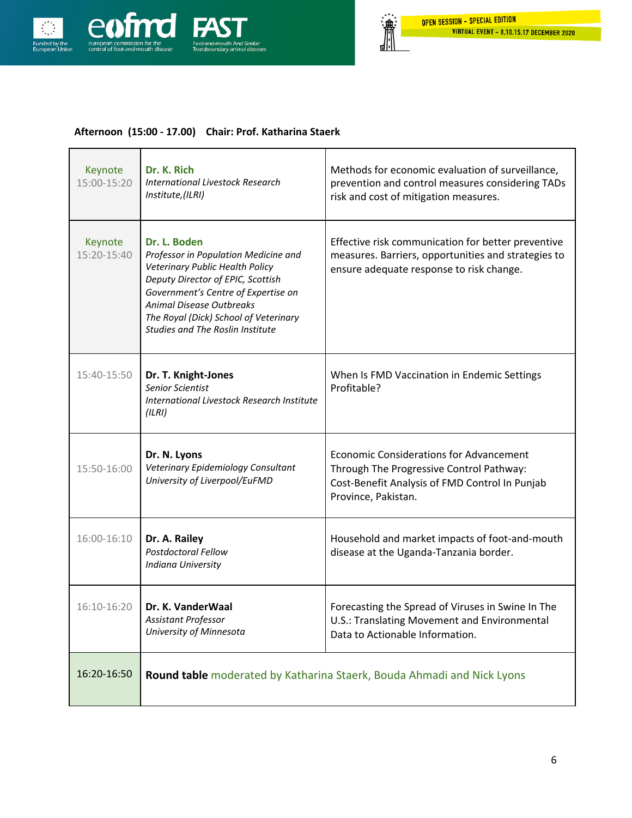

### **Afternoon (15:00 - 17.00) Chair: Prof. Katharina Staerk**

| Keynote<br>15:00-15:20 | Dr. K. Rich<br><b>International Livestock Research</b><br>Institute,(ILRI)                                                                                                                                                                                                          | Methods for economic evaluation of surveillance,<br>prevention and control measures considering TADs<br>risk and cost of mitigation measures.                       |
|------------------------|-------------------------------------------------------------------------------------------------------------------------------------------------------------------------------------------------------------------------------------------------------------------------------------|---------------------------------------------------------------------------------------------------------------------------------------------------------------------|
| Keynote<br>15:20-15:40 | Dr. L. Boden<br>Professor in Population Medicine and<br>Veterinary Public Health Policy<br>Deputy Director of EPIC, Scottish<br>Government's Centre of Expertise on<br>Animal Disease Outbreaks<br>The Royal (Dick) School of Veterinary<br><b>Studies and The Roslin Institute</b> | Effective risk communication for better preventive<br>measures. Barriers, opportunities and strategies to<br>ensure adequate response to risk change.               |
| 15:40-15:50            | Dr. T. Knight-Jones<br>Senior Scientist<br><b>International Livestock Research Institute</b><br>(ILRI)                                                                                                                                                                              | When Is FMD Vaccination in Endemic Settings<br>Profitable?                                                                                                          |
| 15:50-16:00            | Dr. N. Lyons<br>Veterinary Epidemiology Consultant<br>University of Liverpool/EuFMD                                                                                                                                                                                                 | <b>Economic Considerations for Advancement</b><br>Through The Progressive Control Pathway:<br>Cost-Benefit Analysis of FMD Control In Punjab<br>Province, Pakistan. |
| 16:00-16:10            | Dr. A. Railey<br>Postdoctoral Fellow<br><b>Indiana University</b>                                                                                                                                                                                                                   | Household and market impacts of foot-and-mouth<br>disease at the Uganda-Tanzania border.                                                                            |
| 16:10-16:20            | Dr. K. VanderWaal<br>Assistant Professor<br>University of Minnesota                                                                                                                                                                                                                 | Forecasting the Spread of Viruses in Swine In The<br>U.S.: Translating Movement and Environmental<br>Data to Actionable Information.                                |
| 16:20-16:50            | Round table moderated by Katharina Staerk, Bouda Ahmadi and Nick Lyons                                                                                                                                                                                                              |                                                                                                                                                                     |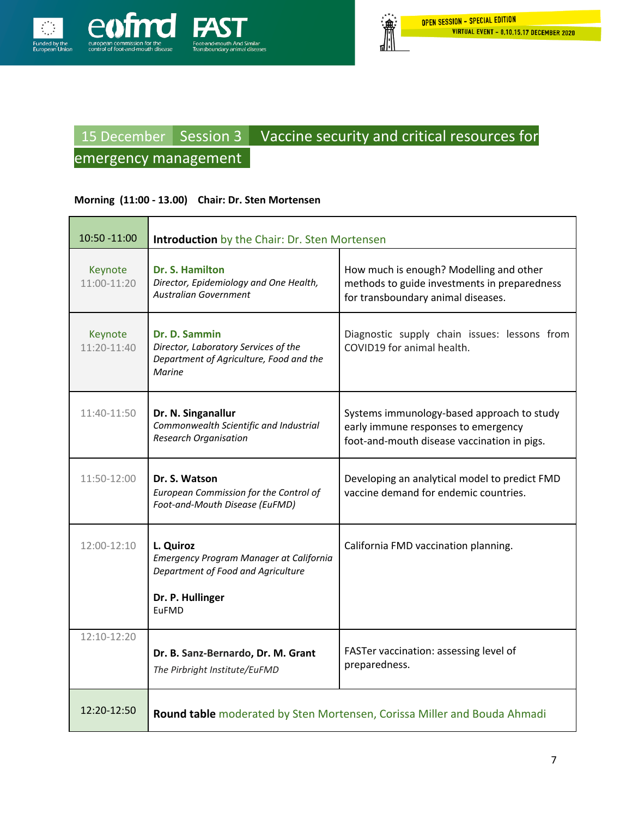

# 15 December Session 3 Vaccine security and critical resources for

## emergency management

#### **Morning (11:00 - 13.00) Chair: Dr. Sten Mortensen**

| 10:50 -11:00           | <b>Introduction</b> by the Chair: Dr. Sten Mortensen                                                                    |                                                                                                                                  |
|------------------------|-------------------------------------------------------------------------------------------------------------------------|----------------------------------------------------------------------------------------------------------------------------------|
| Keynote<br>11:00-11:20 | Dr. S. Hamilton<br>Director, Epidemiology and One Health,<br><b>Australian Government</b>                               | How much is enough? Modelling and other<br>methods to guide investments in preparedness<br>for transboundary animal diseases.    |
| Keynote<br>11:20-11:40 | Dr. D. Sammin<br>Director, Laboratory Services of the<br>Department of Agriculture, Food and the<br>Marine              | Diagnostic supply chain issues: lessons from<br>COVID19 for animal health.                                                       |
| 11:40-11:50            | Dr. N. Singanallur<br>Commonwealth Scientific and Industrial<br><b>Research Organisation</b>                            | Systems immunology-based approach to study<br>early immune responses to emergency<br>foot-and-mouth disease vaccination in pigs. |
| $11:50-12:00$          | Dr. S. Watson<br>European Commission for the Control of<br>Foot-and-Mouth Disease (EuFMD)                               | Developing an analytical model to predict FMD<br>vaccine demand for endemic countries.                                           |
| 12:00-12:10            | L. Quiroz<br>Emergency Program Manager at California<br>Department of Food and Agriculture<br>Dr. P. Hullinger<br>EuFMD | California FMD vaccination planning.                                                                                             |
| 12:10-12:20            | Dr. B. Sanz-Bernardo, Dr. M. Grant<br>The Pirbright Institute/EuFMD                                                     | FASTer vaccination: assessing level of<br>preparedness.                                                                          |
| 12:20-12:50            | Round table moderated by Sten Mortensen, Corissa Miller and Bouda Ahmadi                                                |                                                                                                                                  |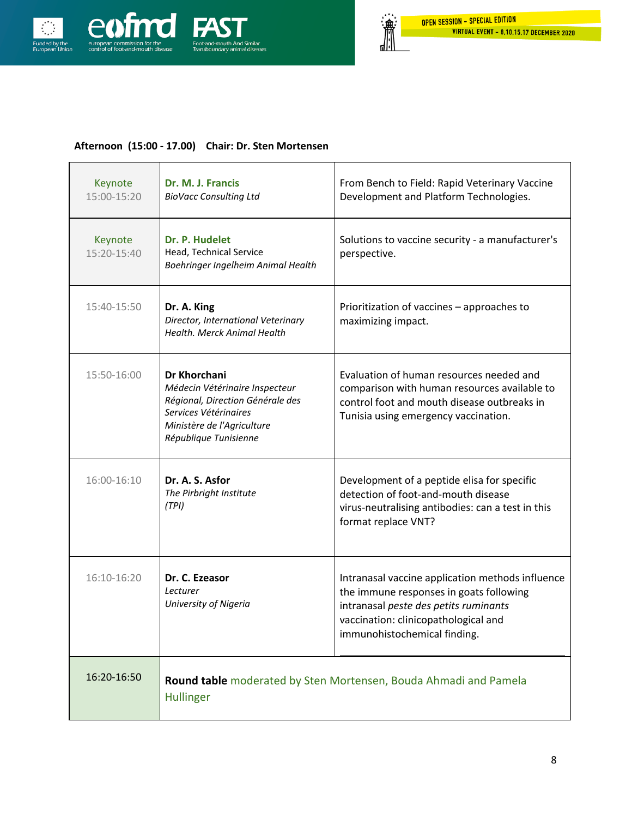

 $\overline{\phantom{a}}$ 

 $\mathbf{r}$ 

ⅆℍ

#### **Afternoon (15:00 - 17.00) Chair: Dr. Sten Mortensen**

| Keynote<br>15:00-15:20 | Dr. M. J. Francis<br><b>BioVacc Consulting Ltd</b>                                                                                                                 | From Bench to Field: Rapid Veterinary Vaccine<br>Development and Platform Technologies.                                                                                                                      |
|------------------------|--------------------------------------------------------------------------------------------------------------------------------------------------------------------|--------------------------------------------------------------------------------------------------------------------------------------------------------------------------------------------------------------|
| Keynote<br>15:20-15:40 | Dr. P. Hudelet<br>Head, Technical Service<br>Boehringer Ingelheim Animal Health                                                                                    | Solutions to vaccine security - a manufacturer's<br>perspective.                                                                                                                                             |
| 15:40-15:50            | Dr. A. King<br>Director, International Veterinary<br>Health, Merck Animal Health                                                                                   | Prioritization of vaccines - approaches to<br>maximizing impact.                                                                                                                                             |
| 15:50-16:00            | Dr Khorchani<br>Médecin Vétérinaire Inspecteur<br>Régional, Direction Générale des<br>Services Vétérinaires<br>Ministère de l'Agriculture<br>République Tunisienne | Evaluation of human resources needed and<br>comparison with human resources available to<br>control foot and mouth disease outbreaks in<br>Tunisia using emergency vaccination.                              |
| 16:00-16:10            | Dr. A. S. Asfor<br>The Pirbright Institute<br>(TPI)                                                                                                                | Development of a peptide elisa for specific<br>detection of foot-and-mouth disease<br>virus-neutralising antibodies: can a test in this<br>format replace VNT?                                               |
| 16:10-16:20            | Dr. C. Ezeasor<br>Lecturer<br><b>University of Nigeria</b>                                                                                                         | Intranasal vaccine application methods influence<br>the immune responses in goats following<br>intranasal peste des petits ruminants<br>vaccination: clinicopathological and<br>immunohistochemical finding. |
| 16:20-16:50            | Round table moderated by Sten Mortensen, Bouda Ahmadi and Pamela<br><b>Hullinger</b>                                                                               |                                                                                                                                                                                                              |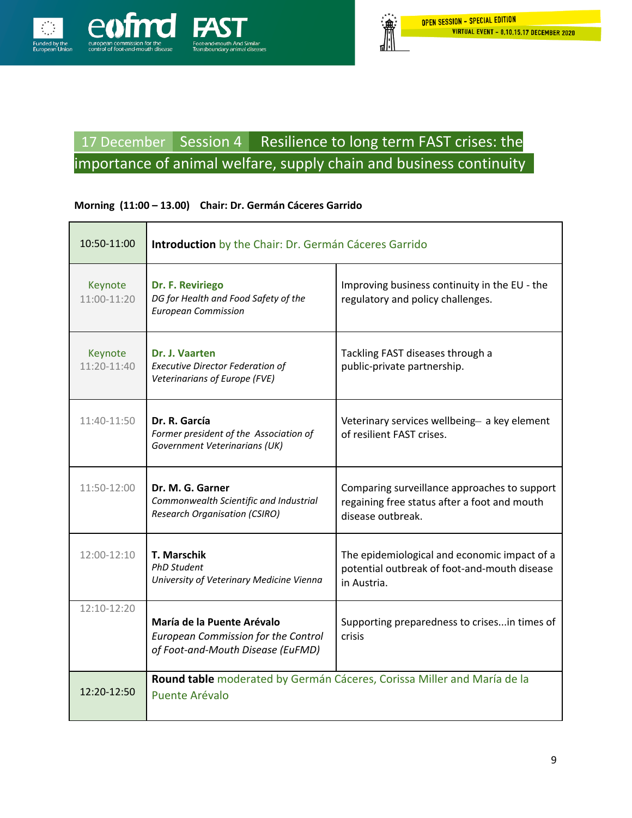

## 17 December Session 4 Resilience to long term FAST crises: the importance of animal welfare, supply chain and business continuity

### **Morning (11:00 – 13.00) Chair: Dr. Germán Cáceres Garrido**

| 10:50-11:00            | Introduction by the Chair: Dr. Germán Cáceres Garrido                                                         |                                                                                                                   |
|------------------------|---------------------------------------------------------------------------------------------------------------|-------------------------------------------------------------------------------------------------------------------|
| Keynote<br>11:00-11:20 | Dr. F. Reviriego<br>DG for Health and Food Safety of the<br><b>European Commission</b>                        | Improving business continuity in the EU - the<br>regulatory and policy challenges.                                |
| Keynote<br>11:20-11:40 | Dr. J. Vaarten<br><b>Executive Director Federation of</b><br>Veterinarians of Europe (FVE)                    | Tackling FAST diseases through a<br>public-private partnership.                                                   |
| 11:40-11:50            | Dr. R. García<br>Former president of the Association of<br>Government Veterinarians (UK)                      | Veterinary services wellbeing- a key element<br>of resilient FAST crises.                                         |
| $11:50-12:00$          | Dr. M. G. Garner<br>Commonwealth Scientific and Industrial<br><b>Research Organisation (CSIRO)</b>            | Comparing surveillance approaches to support<br>regaining free status after a foot and mouth<br>disease outbreak. |
| $12:00-12:10$          | <b>T. Marschik</b><br><b>PhD Student</b><br>University of Veterinary Medicine Vienna                          | The epidemiological and economic impact of a<br>potential outbreak of foot-and-mouth disease<br>in Austria.       |
| 12:10-12:20            | María de la Puente Arévalo<br><b>European Commission for the Control</b><br>of Foot-and-Mouth Disease (EuFMD) | Supporting preparedness to crisesin times of<br>crisis                                                            |
| 12:20-12:50            | Round table moderated by Germán Cáceres, Corissa Miller and María de la<br>Puente Arévalo                     |                                                                                                                   |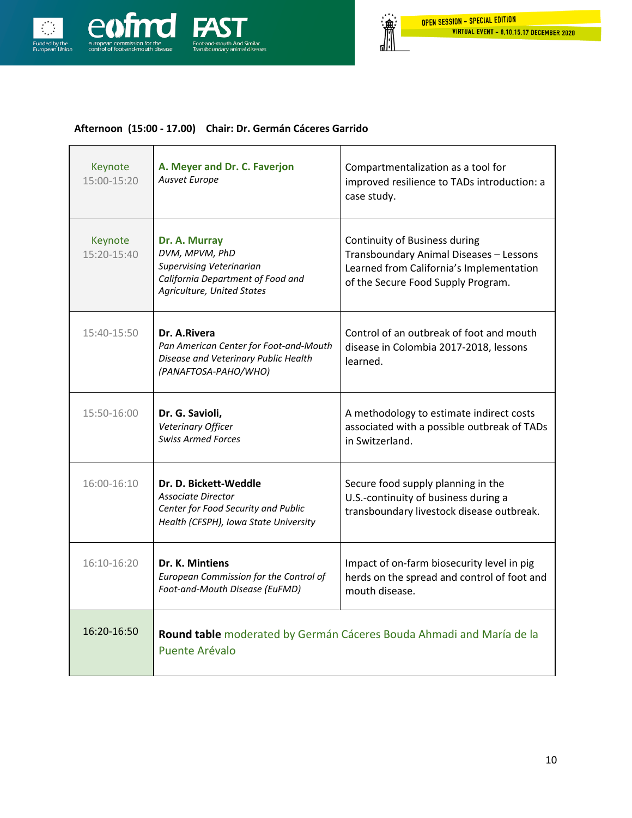

### **Afternoon (15:00 - 17.00) Chair: Dr. Germán Cáceres Garrido**

| Keynote<br>15:00-15:20 | A. Meyer and Dr. C. Faverjon<br>Ausvet Europe                                                                                         | Compartmentalization as a tool for<br>improved resilience to TADs introduction: a<br>case study.                                                           |
|------------------------|---------------------------------------------------------------------------------------------------------------------------------------|------------------------------------------------------------------------------------------------------------------------------------------------------------|
| Keynote<br>15:20-15:40 | Dr. A. Murray<br>DVM, MPVM, PhD<br><b>Supervising Veterinarian</b><br>California Department of Food and<br>Agriculture, United States | Continuity of Business during<br>Transboundary Animal Diseases - Lessons<br>Learned from California's Implementation<br>of the Secure Food Supply Program. |
| 15:40-15:50            | Dr. A.Rivera<br>Pan American Center for Foot-and-Mouth<br>Disease and Veterinary Public Health<br>(PANAFTOSA-PAHO/WHO)                | Control of an outbreak of foot and mouth<br>disease in Colombia 2017-2018, lessons<br>learned.                                                             |
| 15:50-16:00            | Dr. G. Savioli,<br>Veterinary Officer<br><b>Swiss Armed Forces</b>                                                                    | A methodology to estimate indirect costs<br>associated with a possible outbreak of TADs<br>in Switzerland.                                                 |
| $16:00-16:10$          | Dr. D. Bickett-Weddle<br>Associate Director<br>Center for Food Security and Public<br>Health (CFSPH), Iowa State University           | Secure food supply planning in the<br>U.S.-continuity of business during a<br>transboundary livestock disease outbreak.                                    |
| 16:10-16:20            | Dr. K. Mintiens<br>European Commission for the Control of<br>Foot-and-Mouth Disease (EuFMD)                                           | Impact of on-farm biosecurity level in pig<br>herds on the spread and control of foot and<br>mouth disease.                                                |
| 16:20-16:50            | Round table moderated by Germán Cáceres Bouda Ahmadi and María de la<br>Puente Arévalo                                                |                                                                                                                                                            |